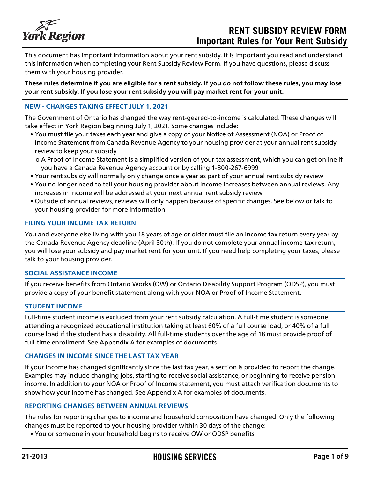

# **RENT SUBSIDY REVIEW FORM Important Rules for Your Rent Subsidy**

This document has important information about your rent subsidy. It is important you read and understand this information when completing your Rent Subsidy Review Form. If you have questions, please discuss them with your housing provider.

**These rules determine if you are eligible for a rent subsidy. If you do not follow these rules, you may lose your rent subsidy. If you lose your rent subsidy you will pay market rent for your unit.**

#### **NEW - CHANGES TAKING EFFECT JULY 1, 2021**

The Government of Ontario has changed the way rent-geared-to-income is calculated. These changes will take effect in York Region beginning July 1, 2021. Some changes include:

• You must file your taxes each year and give a copy of your Notice of Assessment (NOA) or Proof of Income Statement from Canada Revenue Agency to your housing provider at your annual rent subsidy review to keep your subsidy

o A Proof of Income Statement is a simplified version of your tax assessment, which you can get online if you have a Canada Revenue Agency account or by calling 1-800-267-6999

- Your rent subsidy will normally only change once a year as part of your annual rent subsidy review
- You no longer need to tell your housing provider about income increases between annual reviews. Any increases in income will be addressed at your next annual rent subsidy review.
- Outside of annual reviews, reviews will only happen because of specific changes. See below or talk to your housing provider for more information.

#### **FILING YOUR INCOME TAX RETURN**

You and everyone else living with you 18 years of age or older must file an income tax return every year by the Canada Revenue Agency deadline (April 30th). If you do not complete your annual income tax return, you will lose your subsidy and pay market rent for your unit. If you need help completing your taxes, please talk to your housing provider.

#### **SOCIAL ASSISTANCE INCOME**

If you receive benefits from Ontario Works (OW) or Ontario Disability Support Program (ODSP), you must provide a copy of your benefit statement along with your NOA or Proof of Income Statement.

#### **STUDENT INCOME**

Full-time student income is excluded from your rent subsidy calculation. A full-time student is someone attending a recognized educational institution taking at least 60% of a full course load, or 40% of a full course load if the student has a disability. All full-time students over the age of 18 must provide proof of full-time enrollment. See Appendix A for examples of documents.

#### **CHANGES IN INCOME SINCE THE LAST TAX YEAR**

If your income has changed significantly since the last tax year, a section is provided to report the change. Examples may include changing jobs, starting to receive social assistance, or beginning to receive pension income. In addition to your NOA or Proof of Income statement, you must attach verification documents to show how your income has changed. See Appendix A for examples of documents.

#### **REPORTING CHANGES BETWEEN ANNUAL REVIEWS**

The rules for reporting changes to income and household composition have changed. Only the following changes must be reported to your housing provider within 30 days of the change:

• You or someone in your household begins to receive OW or ODSP benefits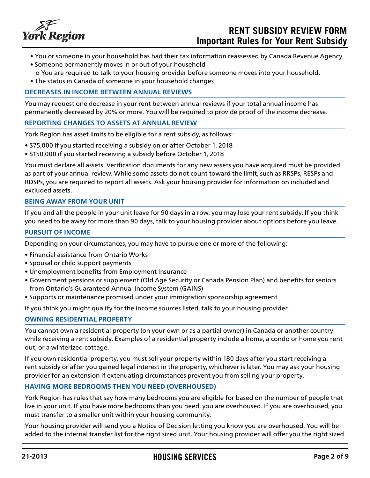

## **RENT SUBSIDY REVIEW FORM Important Rules for Your Rent Subsidy**

- You or someone in your household has had their tax information reassessed by Canada Revenue Agency
- Someone permanently moves in or out of your household o You are required to talk to your housing provider before someone moves into your household.
- The status in Canada of someone in your household changes

#### **DECREASES IN INCOME BETWEEN ANNUAL REVIEWS**

You may request one decrease in your rent between annual reviews if your total annual income has permanently decreased by 20% or more. You will be required to provide proof of the income decrease.

#### **REPORTING CHANGES TO ASSETS AT ANNUAL REVIEW**

York Region has asset limits to be eligible for a rent subsidy, as follows:

- \$75,000 if you started receiving a subsidy on or after October 1, 2018
- \$150,000 if you started receiving a subsidy before October 1, 2018

You must declare all assets. Verification documents for any new assets you have acquired must be provided as part of your annual review. While some assets do not count toward the limit, such as RRSPs, RESPs and RDSPs, you are required to report all assets. Ask your housing provider for information on included and excluded assets.

#### **BEING AWAY FROM YOUR UNIT**

If you and all the people in your unit leave for 90 days in a row, you may lose your rent subsidy. If you think you need to be away for more than 90 days, talk to your housing provider about options before you leave.

#### **PURSUIT OF INCOME**

Depending on your circumstances, you may have to pursue one or more of the following:

- Financial assistance from Ontario Works
- Spousal or child support payments
- Unemployment benefits from Employment Insurance
- Government pensions or supplement (Old Age Security or Canada Pension Plan) and benefits for seniors from Ontario's Guaranteed Annual Income System (GAINS)
- Supports or maintenance promised under your immigration sponsorship agreement

If you think you might qualify for the income sources listed, talk to your housing provider.

#### **OWNING RESIDENTIAL PROPERTY**

You cannot own a residential property (on your own or as a partial owner) in Canada or another country while receiving a rent subsidy. Examples of a residential property include a home, a condo or home you rent out, or a winterized cottage.

If you own residential property, you must sell your property within 180 days after you start receiving a rent subsidy or after you gained legal interest in the property, whichever is later. You may ask your housing provider for an extension if extenuating circumstances prevent you from selling your property.

#### **HAVING MORE BEDROOMS THEN YOU NEED (OVERHOUSED)**

York Region has rules that say how many bedrooms you are eligible for based on the number of people that live in your unit. If you have more bedrooms than you need, you are overhoused. If you are overhoused, you must transfer to a smaller unit within your housing community.

Your housing provider will send you a Notice of Decision letting you know you are overhoused. You will be added to the internal transfer list for the right sized unit. Your housing provider will offer you the right sized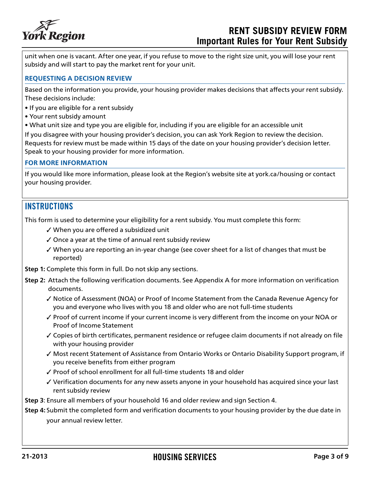

## **RENT SUBSIDY REVIEW FORM Important Rules for Your Rent Subsidy**

unit when one is vacant. After one year, if you refuse to move to the right size unit, you will lose your rent subsidy and will start to pay the market rent for your unit.

#### **REQUESTING A DECISION REVIEW**

Based on the information you provide, your housing provider makes decisions that affects your rent subsidy. These decisions include:

- If you are eligible for a rent subsidy
- Your rent subsidy amount
- What unit size and type you are eligible for, including if you are eligible for an accessible unit

If you disagree with your housing provider's decision, you can ask York Region to review the decision. Requests for review must be made within 15 days of the date on your housing provider's decision letter. Speak to your housing provider for more information.

#### **FOR MORE INFORMATION**

If you would like more information, please look at the Region's website site at york.ca/housing or contact your housing provider.

### **INSTRUCTIONS**

This form is used to determine your eligibility for a rent subsidy. You must complete this form:

- ✓ When you are offered a subsidized unit
- $\checkmark$  Once a year at the time of annual rent subsidy review
- $\checkmark$  When you are reporting an in-year change (see cover sheet for a list of changes that must be reported)
- **Step 1:** Complete this form in full. Do not skip any sections.
- **Step 2:** Attach the following verification documents. See Appendix A for more information on verification documents.
	- ✓ Notice of Assessment (NOA) or Proof of Income Statement from the Canada Revenue Agency for you and everyone who lives with you 18 and older who are not full-time students
	- ✓ Proof of current income if your current income is very different from the income on your NOA or Proof of Income Statement
	- ✓ Copies of birth certificates, permanent residence or refugee claim documents if not already on file with your housing provider
	- ✓ Most recent Statement of Assistance from Ontario Works or Ontario Disability Support program, if you receive benefits from either program
	- ✓ Proof of school enrollment for all full-time students 18 and older
	- ✓ Verification documents for any new assets anyone in your household has acquired since your last rent subsidy review
- **Step 3**: Ensure all members of your household 16 and older review and sign Section 4.
- **Step 4:** Submit the completed form and verification documents to your housing provider by the due date in your annual review letter.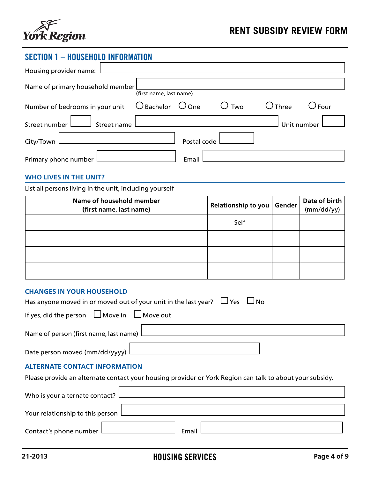

| <b>SECTION 1 - HOUSEHOLD INFORMATION</b>                                                                 |                            |             |                             |  |
|----------------------------------------------------------------------------------------------------------|----------------------------|-------------|-----------------------------|--|
| Housing provider name:                                                                                   |                            |             |                             |  |
| Name of primary household member<br>(first name, last name)                                              |                            |             |                             |  |
| $\bigcirc$ Bachelor $\bigcirc$ One<br>Number of bedrooms in your unit                                    | $\bigcup$ Two              | $O$ Three   | $\bigcirc$ Four             |  |
| Street number<br>Street name                                                                             |                            | Unit number |                             |  |
| Postal code l<br>City/Town                                                                               |                            |             |                             |  |
| Primary phone number<br>Email                                                                            |                            |             |                             |  |
| <b>WHO LIVES IN THE UNIT?</b>                                                                            |                            |             |                             |  |
| List all persons living in the unit, including yourself                                                  |                            |             |                             |  |
| Name of household member<br>(first name, last name)                                                      | <b>Relationship to you</b> | Gender      | Date of birth<br>(mm/dd/yy) |  |
|                                                                                                          | Self                       |             |                             |  |
|                                                                                                          |                            |             |                             |  |
|                                                                                                          |                            |             |                             |  |
|                                                                                                          |                            |             |                             |  |
|                                                                                                          |                            |             |                             |  |
| <b>CHANGES IN YOUR HOUSEHOLD</b>                                                                         |                            |             |                             |  |
| Has anyone moved in or moved out of your unit in the last year? $\Box$ Yes $\Box$ No                     |                            |             |                             |  |
| If yes, did the person $\Box$ Move in $\Box$ Move out                                                    |                            |             |                             |  |
| Name of person (first name, last name)                                                                   |                            |             |                             |  |
| Date person moved (mm/dd/yyyy)                                                                           |                            |             |                             |  |
| <b>ALTERNATE CONTACT INFORMATION</b>                                                                     |                            |             |                             |  |
| Please provide an alternate contact your housing provider or York Region can talk to about your subsidy. |                            |             |                             |  |
| Who is your alternate contact?                                                                           |                            |             |                             |  |
| Your relationship to this person                                                                         |                            |             |                             |  |
| Contact's phone number<br>Email                                                                          |                            |             |                             |  |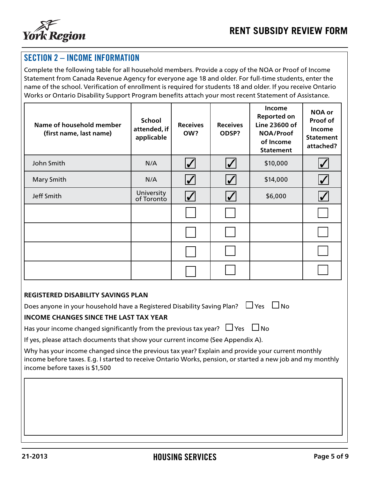

## SECTION 2 – INCOME INFORMATION

Complete the following table for all household members. Provide a copy of the NOA or Proof of Income Statement from Canada Revenue Agency for everyone age 18 and older. For full-time students, enter the name of the school. Verification of enrollment is required for students 18 and older. If you receive Ontario Works or Ontario Disability Support Program benefits attach your most recent Statement of Assistance.

| Name of household member<br>(first name, last name) | <b>School</b><br>attended, if<br>applicable | <b>Receives</b><br>OW?             | <b>Receives</b><br>ODSP?   | Income<br><b>Reported on</b><br>Line 23600 of<br>NOA/Proof<br>of Income<br><b>Statement</b> | <b>NOA or</b><br>Proof of<br><b>Income</b><br><b>Statement</b><br>attached? |
|-----------------------------------------------------|---------------------------------------------|------------------------------------|----------------------------|---------------------------------------------------------------------------------------------|-----------------------------------------------------------------------------|
| John Smith                                          | N/A                                         | $\boldsymbol{ \mathcal{p} }$       | $\overline{\mathbf{V}}$    | \$10,000                                                                                    | $\blacktriangledown$                                                        |
| <b>Mary Smith</b>                                   | N/A                                         | $\boldsymbol{\mathcal{U}}$         | $\boldsymbol{\mathcal{U}}$ | \$14,000                                                                                    | $\bigvee$                                                                   |
| Jeff Smith                                          | University<br>of Toronto                    | $\boldsymbol{ \mathcal{p}\rangle}$ | $\boldsymbol{V}$           | \$6,000                                                                                     | $\blacktriangledown$                                                        |
|                                                     |                                             |                                    |                            |                                                                                             |                                                                             |
|                                                     |                                             |                                    |                            |                                                                                             |                                                                             |
|                                                     |                                             |                                    |                            |                                                                                             |                                                                             |
|                                                     |                                             |                                    |                            |                                                                                             |                                                                             |

#### **REGISTERED DISABILITY SAVINGS PLAN**

Does anyone in your household have a Registered Disability Saving Plan?  $\Box$  Yes  $\Box$  No

#### **INCOME CHANGES SINCE THE LAST TAX YEAR**

Has your income changed significantly from the previous tax year?  $\Box$  Yes  $\Box$  No

If yes, please attach documents that show your current income (See Appendix A).

Why has your income changed since the previous tax year? Explain and provide your current monthly income before taxes. E.g. I started to receive Ontario Works, pension, or started a new job and my monthly income before taxes is \$1,500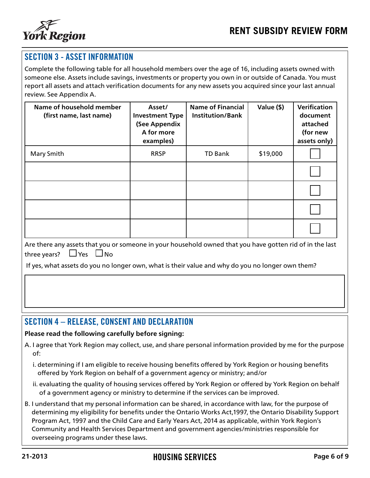

## SECTION 3 - ASSET INFORMATION

Complete the following table for all household members over the age of 16, including assets owned with someone else. Assets include savings, investments or property you own in or outside of Canada. You must report all assets and attach verification documents for any new assets you acquired since your last annual review. See Appendix A.

| Name of household member<br>(first name, last name) | Asset/<br><b>Investment Type</b><br>(See Appendix<br>A for more<br>examples) | <b>Name of Financial</b><br><b>Institution/Bank</b> | Value (\$) | Verification<br>document<br>attached<br>(for new<br>assets only) |
|-----------------------------------------------------|------------------------------------------------------------------------------|-----------------------------------------------------|------------|------------------------------------------------------------------|
| <b>Mary Smith</b>                                   | <b>RRSP</b>                                                                  | <b>TD Bank</b>                                      | \$19,000   |                                                                  |
|                                                     |                                                                              |                                                     |            |                                                                  |
|                                                     |                                                                              |                                                     |            |                                                                  |
|                                                     |                                                                              |                                                     |            |                                                                  |
|                                                     |                                                                              |                                                     |            |                                                                  |

| Are there any assets that you or someone in your household owned that you have gotten rid of in the last |  |  |  |  |
|----------------------------------------------------------------------------------------------------------|--|--|--|--|
| three years? $\Box$ Yes $\Box$ No                                                                        |  |  |  |  |

If yes, what assets do you no longer own, what is their value and why do you no longer own them?

### SECTION 4 – RELEASE, CONSENT AND DECLARATION

#### **Please read the following carefully before signing:**

- A. I agree that York Region may collect, use, and share personal information provided by me for the purpose of:
	- i. determining if I am eligible to receive housing benefits offered by York Region or housing benefits offered by York Region on behalf of a government agency or ministry; and/or
	- ii. evaluating the quality of housing services offered by York Region or offered by York Region on behalf of a government agency or ministry to determine if the services can be improved.
- B. I understand that my personal information can be shared, in accordance with law, for the purpose of determining my eligibility for benefits under the Ontario Works Act,1997, the Ontario Disability Support Program Act, 1997 and the Child Care and Early Years Act, 2014 as applicable, within York Region's Community and Health Services Department and government agencies/ministries responsible for overseeing programs under these laws.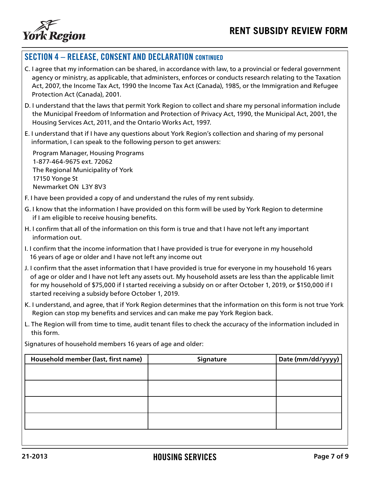

## SECTION 4 – RELEASE, CONSENT AND DECLARATION CONTINUED

- C. I agree that my information can be shared, in accordance with law, to a provincial or federal government agency or ministry, as applicable, that administers, enforces or conducts research relating to the Taxation Act, 2007, the Income Tax Act, 1990 the Income Tax Act (Canada), 1985, or the Immigration and Refugee Protection Act (Canada), 2001.
- D. I understand that the laws that permit York Region to collect and share my personal information include the Municipal Freedom of Information and Protection of Privacy Act, 1990, the Municipal Act, 2001, the Housing Services Act, 2011, and the Ontario Works Act, 1997.
- E. I understand that if I have any questions about York Region's collection and sharing of my personal information, I can speak to the following person to get answers:

Program Manager, Housing Programs 1-877-464-9675 ext. 72062 The Regional Municipality of York 17150 Yonge St Newmarket ON L3Y 8V3

- F. I have been provided a copy of and understand the rules of my rent subsidy.
- G. I know that the information I have provided on this form will be used by York Region to determine if I am eligible to receive housing benefits.
- H. I confirm that all of the information on this form is true and that I have not left any important information out.
- I. I confirm that the income information that I have provided is true for everyone in my household 16 years of age or older and I have not left any income out
- J. I confirm that the asset information that I have provided is true for everyone in my household 16 years of age or older and I have not left any assets out. My household assets are less than the applicable limit for my household of \$75,000 if I started receiving a subsidy on or after October 1, 2019, or \$150,000 if I started receiving a subsidy before October 1, 2019.
- K. I understand, and agree, that if York Region determines that the information on this form is not true York Region can stop my benefits and services and can make me pay York Region back.
- L. The Region will from time to time, audit tenant files to check the accuracy of the information included in this form.

Signatures of household members 16 years of age and older:

| Household member (last, first name) | Signature | Date (mm/dd/yyyy) |
|-------------------------------------|-----------|-------------------|
|                                     |           |                   |
|                                     |           |                   |
|                                     |           |                   |
|                                     |           |                   |
|                                     |           |                   |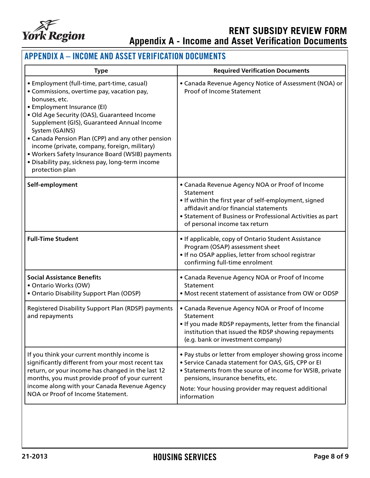

# **RENT SUBSIDY REVIEW FORM Appendix A - Income and Asset Verification Documents**

## APPENDIX A – INCOME AND ASSET VERIFICATION DOCUMENTS

| <b>Type</b>                                                                                                                                                                                                                                                                                                                                                                                                                                                                              | <b>Required Verification Documents</b>                                                                                                                                                                                                                                                |
|------------------------------------------------------------------------------------------------------------------------------------------------------------------------------------------------------------------------------------------------------------------------------------------------------------------------------------------------------------------------------------------------------------------------------------------------------------------------------------------|---------------------------------------------------------------------------------------------------------------------------------------------------------------------------------------------------------------------------------------------------------------------------------------|
| · Employment (full-time, part-time, casual)<br>• Commissions, overtime pay, vacation pay,<br>bonuses, etc.<br>• Employment Insurance (EI)<br>· Old Age Security (OAS), Guaranteed Income<br>Supplement (GIS), Guaranteed Annual Income<br>System (GAINS)<br>• Canada Pension Plan (CPP) and any other pension<br>income (private, company, foreign, military)<br>. Workers Safety Insurance Board (WSIB) payments<br>· Disability pay, sickness pay, long-term income<br>protection plan | • Canada Revenue Agency Notice of Assessment (NOA) or<br>Proof of Income Statement                                                                                                                                                                                                    |
| Self-employment                                                                                                                                                                                                                                                                                                                                                                                                                                                                          | • Canada Revenue Agency NOA or Proof of Income<br>Statement<br>• If within the first year of self-employment, signed<br>affidavit and/or financial statements<br>• Statement of Business or Professional Activities as part<br>of personal income tax return                          |
| <b>Full-Time Student</b>                                                                                                                                                                                                                                                                                                                                                                                                                                                                 | • If applicable, copy of Ontario Student Assistance<br>Program (OSAP) assessment sheet<br>. If no OSAP applies, letter from school registrar<br>confirming full-time enrolment                                                                                                        |
| <b>Social Assistance Benefits</b><br>· Ontario Works (OW)<br>• Ontario Disability Support Plan (ODSP)                                                                                                                                                                                                                                                                                                                                                                                    | • Canada Revenue Agency NOA or Proof of Income<br>Statement<br>• Most recent statement of assistance from OW or ODSP                                                                                                                                                                  |
| Registered Disability Support Plan (RDSP) payments<br>and repayments                                                                                                                                                                                                                                                                                                                                                                                                                     | • Canada Revenue Agency NOA or Proof of Income<br>Statement<br>. If you made RDSP repayments, letter from the financial<br>institution that issued the RDSP showing repayments<br>(e.g. bank or investment company)                                                                   |
| If you think your current monthly income is<br>significantly different from your most recent tax<br>return, or your income has changed in the last 12<br>months, you must provide proof of your current<br>income along with your Canada Revenue Agency<br>NOA or Proof of Income Statement.                                                                                                                                                                                             | . Pay stubs or letter from employer showing gross income<br>• Service Canada statement for OAS, GIS, CPP or EI<br>• Statements from the source of income for WSIB, private<br>pensions, insurance benefits, etc.<br>Note: Your housing provider may request additional<br>information |